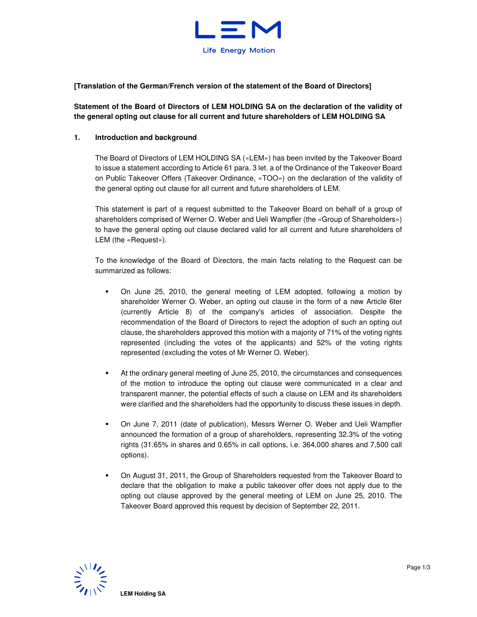

# **[Translation of the German/French version of the statement of the Board of Directors]**

# **Statement of the Board of Directors of LEM HOLDING SA on the declaration of the validity of the general opting out clause for all current and future shareholders of LEM HOLDING SA**

### **1. Introduction and background**

The Board of Directors of LEM HOLDING SA («LEM») has been invited by the Takeover Board to issue a statement according to Article 61 para. 3 let. a of the Ordinance of the Takeover Board on Public Takeover Offers (Takeover Ordinance, «TOO») on the declaration of the validity of the general opting out clause for all current and future shareholders of LEM.

This statement is part of a request submitted to the Takeover Board on behalf of a group of shareholders comprised of Werner O. Weber and Ueli Wampfler (the «Group of Shareholders») to have the general opting out clause declared valid for all current and future shareholders of LEM (the «Request»).

To the knowledge of the Board of Directors, the main facts relating to the Request can be summarized as follows:

- On June 25, 2010, the general meeting of LEM adopted, following a motion by shareholder Werner O. Weber, an opting out clause in the form of a new Article 6ter (currently Article 8) of the company's articles of association. Despite the recommendation of the Board of Directors to reject the adoption of such an opting out clause, the shareholders approved this motion with a majority of 71% of the voting rights represented (including the votes of the applicants) and 52% of the voting rights represented (excluding the votes of Mr Werner O. Weber).
- At the ordinary general meeting of June 25, 2010, the circumstances and consequences of the motion to introduce the opting out clause were communicated in a clear and transparent manner, the potential effects of such a clause on LEM and its shareholders were clarified and the shareholders had the opportunity to discuss these issues in depth.
- On June 7, 2011 (date of publication), Messrs Werner O. Weber and Ueli Wampfler announced the formation of a group of shareholders, representing 32.3% of the voting rights (31.65% in shares and 0.65% in call options, i.e. 364,000 shares and 7,500 call options).
- On August 31, 2011, the Group of Shareholders requested from the Takeover Board to declare that the obligation to make a public takeover offer does not apply due to the opting out clause approved by the general meeting of LEM on June 25, 2010. The Takeover Board approved this request by decision of September 22, 2011.

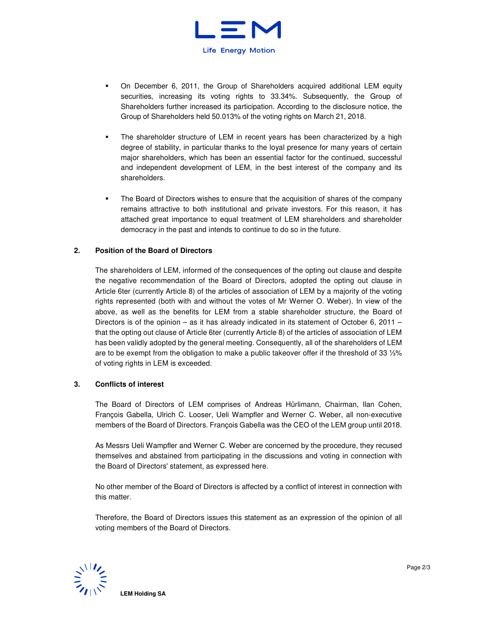

- On December 6, 2011, the Group of Shareholders acquired additional LEM equity securities, increasing its voting rights to 33.34%. Subsequently, the Group of Shareholders further increased its participation. According to the disclosure notice, the Group of Shareholders held 50.013% of the voting rights on March 21, 2018.
- The shareholder structure of LEM in recent years has been characterized by a high degree of stability, in particular thanks to the loyal presence for many years of certain major shareholders, which has been an essential factor for the continued, successful and independent development of LEM, in the best interest of the company and its shareholders.
- The Board of Directors wishes to ensure that the acquisition of shares of the company remains attractive to both institutional and private investors. For this reason, it has attached great importance to equal treatment of LEM shareholders and shareholder democracy in the past and intends to continue to do so in the future.

## **2. Position of the Board of Directors**

The shareholders of LEM, informed of the consequences of the opting out clause and despite the negative recommendation of the Board of Directors, adopted the opting out clause in Article 6ter (currently Article 8) of the articles of association of LEM by a majority of the voting rights represented (both with and without the votes of Mr Werner O. Weber). In view of the above, as well as the benefits for LEM from a stable shareholder structure, the Board of Directors is of the opinion – as it has already indicated in its statement of October 6, 2011 – that the opting out clause of Article 6ter (currently Article 8) of the articles of association of LEM has been validly adopted by the general meeting. Consequently, all of the shareholders of LEM are to be exempt from the obligation to make a public takeover offer if the threshold of 33 ⅓% of voting rights in LEM is exceeded.

#### **3. Conflicts of interest**

The Board of Directors of LEM comprises of Andreas Hürlimann, Chairman, Ilan Cohen, François Gabella, Ulrich C. Looser, Ueli Wampfler and Werner C. Weber, all non-executive members of the Board of Directors. François Gabella was the CEO of the LEM group until 2018.

As Messrs Ueli Wampfler and Werner C. Weber are concerned by the procedure, they recused themselves and abstained from participating in the discussions and voting in connection with the Board of Directors' statement, as expressed here.

No other member of the Board of Directors is affected by a conflict of interest in connection with this matter.

Therefore, the Board of Directors issues this statement as an expression of the opinion of all voting members of the Board of Directors.